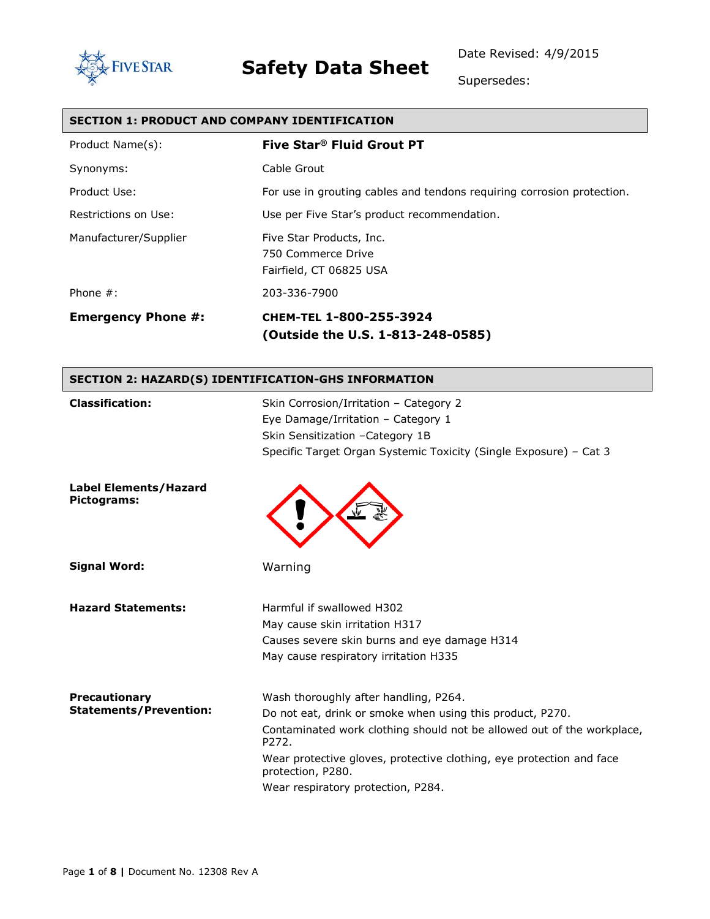

Date Revised: 4/9/2015

Supersedes:

#### **SECTION 1: PRODUCT AND COMPANY IDENTIFICATION**

| Product Name(s):          | Five Star <sup>®</sup> Fluid Grout PT                                     |
|---------------------------|---------------------------------------------------------------------------|
| Synonyms:                 | Cable Grout                                                               |
| Product Use:              | For use in grouting cables and tendons requiring corrosion protection.    |
| Restrictions on Use:      | Use per Five Star's product recommendation.                               |
| Manufacturer/Supplier     | Five Star Products, Inc.<br>750 Commerce Drive<br>Fairfield, CT 06825 USA |
| Phone $#$ :               | 203-336-7900                                                              |
| <b>Emergency Phone #:</b> | CHEM-TEL 1-800-255-3924<br>(Outside the U.S. 1-813-248-0585)              |

#### **SECTION 2: HAZARD(S) IDENTIFICATION-GHS INFORMATION**

| <b>Classification:</b>                                | Skin Corrosion/Irritation - Category 2<br>Eye Damage/Irritation - Category 1<br>Skin Sensitization - Category 1B<br>Specific Target Organ Systemic Toxicity (Single Exposure) - Cat 3                                                                                                                                    |
|-------------------------------------------------------|--------------------------------------------------------------------------------------------------------------------------------------------------------------------------------------------------------------------------------------------------------------------------------------------------------------------------|
| <b>Label Elements/Hazard</b><br>Pictograms:           |                                                                                                                                                                                                                                                                                                                          |
| <b>Signal Word:</b>                                   | Warning                                                                                                                                                                                                                                                                                                                  |
| <b>Hazard Statements:</b>                             | Harmful if swallowed H302<br>May cause skin irritation H317<br>Causes severe skin burns and eye damage H314<br>May cause respiratory irritation H335                                                                                                                                                                     |
| <b>Precautionary</b><br><b>Statements/Prevention:</b> | Wash thoroughly after handling, P264.<br>Do not eat, drink or smoke when using this product, P270.<br>Contaminated work clothing should not be allowed out of the workplace,<br>P272.<br>Wear protective gloves, protective clothing, eye protection and face<br>protection, P280.<br>Wear respiratory protection, P284. |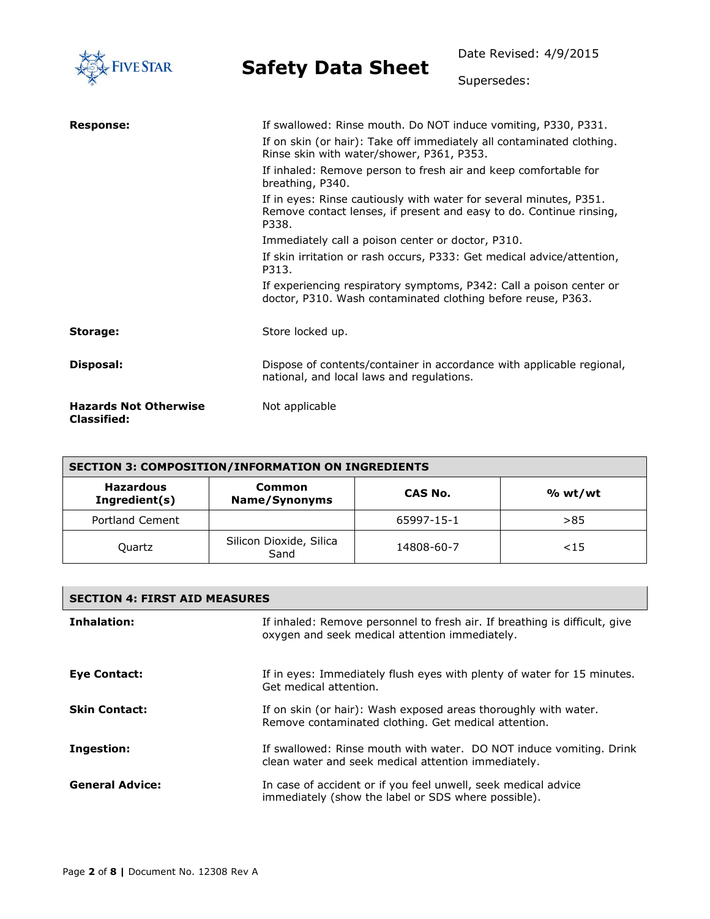| <b>FIVE STAR</b>                                   | <b>Safety Data Sheet</b>                                                                                                                                                                                                                                                                                                                                                                                                                                                                                                                                                                                                                                                                                         | Date Revised: 4/9/2015 |
|----------------------------------------------------|------------------------------------------------------------------------------------------------------------------------------------------------------------------------------------------------------------------------------------------------------------------------------------------------------------------------------------------------------------------------------------------------------------------------------------------------------------------------------------------------------------------------------------------------------------------------------------------------------------------------------------------------------------------------------------------------------------------|------------------------|
|                                                    |                                                                                                                                                                                                                                                                                                                                                                                                                                                                                                                                                                                                                                                                                                                  | Supersedes:            |
| <b>Response:</b>                                   | If swallowed: Rinse mouth. Do NOT induce vomiting, P330, P331.<br>If on skin (or hair): Take off immediately all contaminated clothing.<br>Rinse skin with water/shower, P361, P353.<br>If inhaled: Remove person to fresh air and keep comfortable for<br>breathing, P340.<br>If in eyes: Rinse cautiously with water for several minutes, P351.<br>Remove contact lenses, if present and easy to do. Continue rinsing,<br>P338.<br>Immediately call a poison center or doctor, P310.<br>If skin irritation or rash occurs, P333: Get medical advice/attention,<br>P313.<br>If experiencing respiratory symptoms, P342: Call a poison center or<br>doctor, P310. Wash contaminated clothing before reuse, P363. |                        |
| Storage:                                           | Store locked up.                                                                                                                                                                                                                                                                                                                                                                                                                                                                                                                                                                                                                                                                                                 |                        |
| <b>Disposal:</b>                                   | Dispose of contents/container in accordance with applicable regional,<br>national, and local laws and regulations.                                                                                                                                                                                                                                                                                                                                                                                                                                                                                                                                                                                               |                        |
| <b>Hazards Not Otherwise</b><br><b>Classified:</b> | Not applicable                                                                                                                                                                                                                                                                                                                                                                                                                                                                                                                                                                                                                                                                                                   |                        |

| <b>SECTION 3: COMPOSITION/INFORMATION ON INGREDIENTS</b> |                                 |            |         |
|----------------------------------------------------------|---------------------------------|------------|---------|
| <b>Hazardous</b><br>Ingredient(s)                        | Common<br>Name/Synonyms         | CAS No.    | % wt/wt |
| Portland Cement                                          |                                 | 65997-15-1 | >85     |
| Quartz                                                   | Silicon Dioxide, Silica<br>Sand | 14808-60-7 | < 15    |

| <b>SECTION 4: FIRST AID MEASURES</b> |                                                                                                                              |  |
|--------------------------------------|------------------------------------------------------------------------------------------------------------------------------|--|
| Inhalation:                          | If inhaled: Remove personnel to fresh air. If breathing is difficult, give<br>oxygen and seek medical attention immediately. |  |
| <b>Eye Contact:</b>                  | If in eyes: Immediately flush eyes with plenty of water for 15 minutes.<br>Get medical attention.                            |  |
| <b>Skin Contact:</b>                 | If on skin (or hair): Wash exposed areas thoroughly with water.<br>Remove contaminated clothing. Get medical attention.      |  |
| Ingestion:                           | If swallowed: Rinse mouth with water. DO NOT induce vomiting. Drink<br>clean water and seek medical attention immediately.   |  |
| <b>General Advice:</b>               | In case of accident or if you feel unwell, seek medical advice<br>immediately (show the label or SDS where possible).        |  |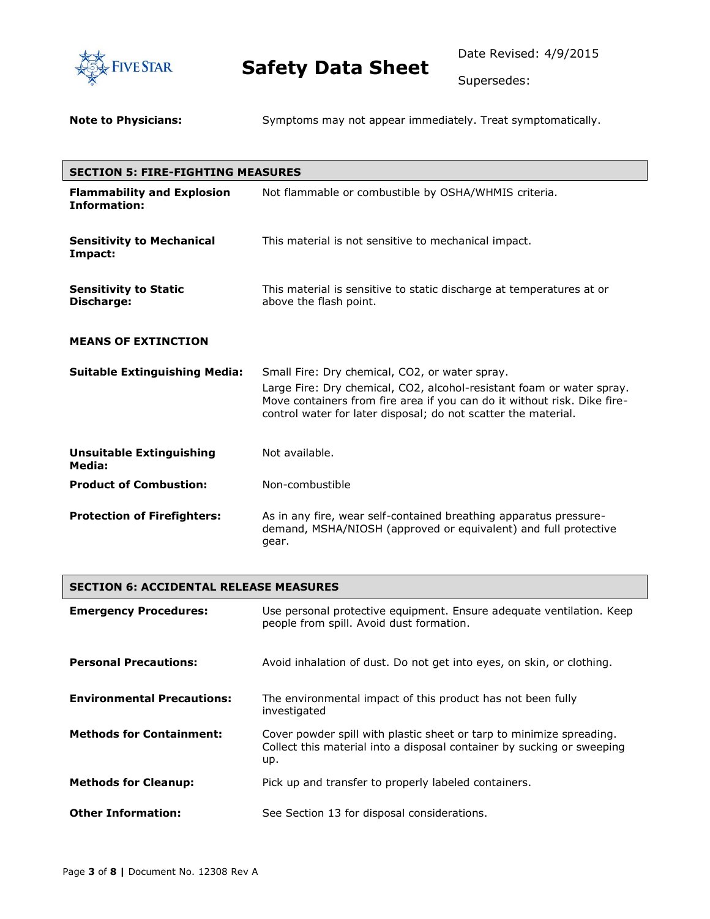

Supersedes:

**Note to Physicians:** Symptoms may not appear immediately. Treat symptomatically.

| <b>SECTION 5: FIRE-FIGHTING MEASURES</b>                 |                                                                                                                                                                                                                                                                       |  |
|----------------------------------------------------------|-----------------------------------------------------------------------------------------------------------------------------------------------------------------------------------------------------------------------------------------------------------------------|--|
| <b>Flammability and Explosion</b><br><b>Information:</b> | Not flammable or combustible by OSHA/WHMIS criteria.                                                                                                                                                                                                                  |  |
| <b>Sensitivity to Mechanical</b><br>Impact:              | This material is not sensitive to mechanical impact.                                                                                                                                                                                                                  |  |
| <b>Sensitivity to Static</b><br>Discharge:               | This material is sensitive to static discharge at temperatures at or<br>above the flash point.                                                                                                                                                                        |  |
| <b>MEANS OF EXTINCTION</b>                               |                                                                                                                                                                                                                                                                       |  |
| <b>Suitable Extinguishing Media:</b>                     | Small Fire: Dry chemical, CO2, or water spray.<br>Large Fire: Dry chemical, CO2, alcohol-resistant foam or water spray.<br>Move containers from fire area if you can do it without risk. Dike fire-<br>control water for later disposal; do not scatter the material. |  |
| <b>Unsuitable Extinguishing</b><br>Media:                | Not available.                                                                                                                                                                                                                                                        |  |
| <b>Product of Combustion:</b>                            | Non-combustible                                                                                                                                                                                                                                                       |  |
| <b>Protection of Firefighters:</b>                       | As in any fire, wear self-contained breathing apparatus pressure-<br>demand, MSHA/NIOSH (approved or equivalent) and full protective<br>gear.                                                                                                                         |  |

| <b>SECTION 6: ACCIDENTAL RELEASE MEASURES</b> |                                                                                                                                                       |  |
|-----------------------------------------------|-------------------------------------------------------------------------------------------------------------------------------------------------------|--|
| <b>Emergency Procedures:</b>                  | Use personal protective equipment. Ensure adequate ventilation. Keep<br>people from spill. Avoid dust formation.                                      |  |
| <b>Personal Precautions:</b>                  | Avoid inhalation of dust. Do not get into eyes, on skin, or clothing.                                                                                 |  |
| <b>Environmental Precautions:</b>             | The environmental impact of this product has not been fully<br>investigated                                                                           |  |
| <b>Methods for Containment:</b>               | Cover powder spill with plastic sheet or tarp to minimize spreading.<br>Collect this material into a disposal container by sucking or sweeping<br>up. |  |
| <b>Methods for Cleanup:</b>                   | Pick up and transfer to properly labeled containers.                                                                                                  |  |
| <b>Other Information:</b>                     | See Section 13 for disposal considerations.                                                                                                           |  |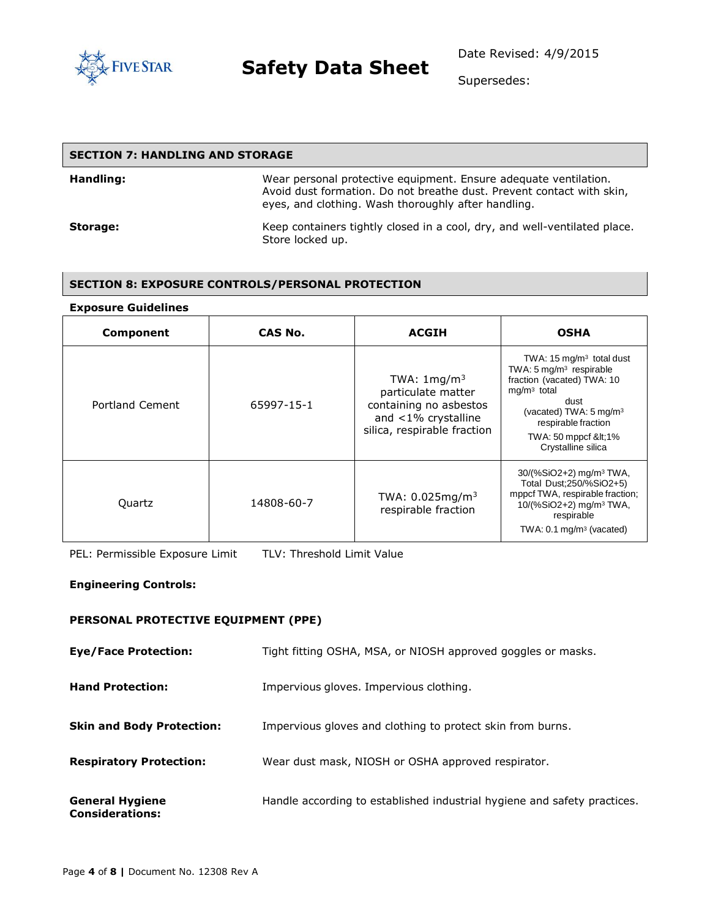

Supersedes:

#### **SECTION 7: HANDLING AND STORAGE**

| Handling: | Wear personal protective equipment. Ensure adequate ventilation.<br>Avoid dust formation. Do not breathe dust. Prevent contact with skin,<br>eyes, and clothing. Wash thoroughly after handling. |
|-----------|--------------------------------------------------------------------------------------------------------------------------------------------------------------------------------------------------|
| Storage:  | Keep containers tightly closed in a cool, dry, and well-ventilated place.<br>Store locked up.                                                                                                    |

#### **SECTION 8: EXPOSURE CONTROLS/PERSONAL PROTECTION**

#### **Exposure Guidelines**

| Component       | CAS No.    | <b>ACGIH</b>                                                                                                                 | <b>OSHA</b>                                                                                                                                                                                                                             |
|-----------------|------------|------------------------------------------------------------------------------------------------------------------------------|-----------------------------------------------------------------------------------------------------------------------------------------------------------------------------------------------------------------------------------------|
| Portland Cement | 65997-15-1 | TWA: $1 \text{mg/m}^3$<br>particulate matter<br>containing no asbestos<br>and <1% crystalline<br>silica, respirable fraction | TWA: $15 \text{ mg/m}^3$ total dust<br>TWA: $5 \text{ mg/m}^3$ respirable<br>fraction (vacated) TWA: 10<br>$mg/m3$ total<br>dust<br>(vacated) TWA: $5 \text{ mg/m}^3$<br>respirable fraction<br>TWA: 50 mppcf <1%<br>Crystalline silica |
| Quartz          | 14808-60-7 | TWA: $0.025$ mg/m <sup>3</sup><br>respirable fraction                                                                        | $30/(%SiO2+2)$ mg/m <sup>3</sup> TWA,<br>Total Dust; 250/% SiO2+5)<br>mppcf TWA, respirable fraction;<br>10/(%SiO2+2) mg/m <sup>3</sup> TWA,<br>respirable<br>TWA: $0.1 \text{ mg/m}^3$ (vacated)                                       |

PEL: Permissible Exposure Limit TLV: Threshold Limit Value

#### **Engineering Controls:**

#### **PERSONAL PROTECTIVE EQUIPMENT (PPE)**

| <b>Eye/Face Protection:</b>                      | Tight fitting OSHA, MSA, or NIOSH approved goggles or masks.             |
|--------------------------------------------------|--------------------------------------------------------------------------|
| <b>Hand Protection:</b>                          | Impervious gloves. Impervious clothing.                                  |
| <b>Skin and Body Protection:</b>                 | Impervious gloves and clothing to protect skin from burns.               |
| <b>Respiratory Protection:</b>                   | Wear dust mask, NIOSH or OSHA approved respirator.                       |
| <b>General Hygiene</b><br><b>Considerations:</b> | Handle according to established industrial hygiene and safety practices. |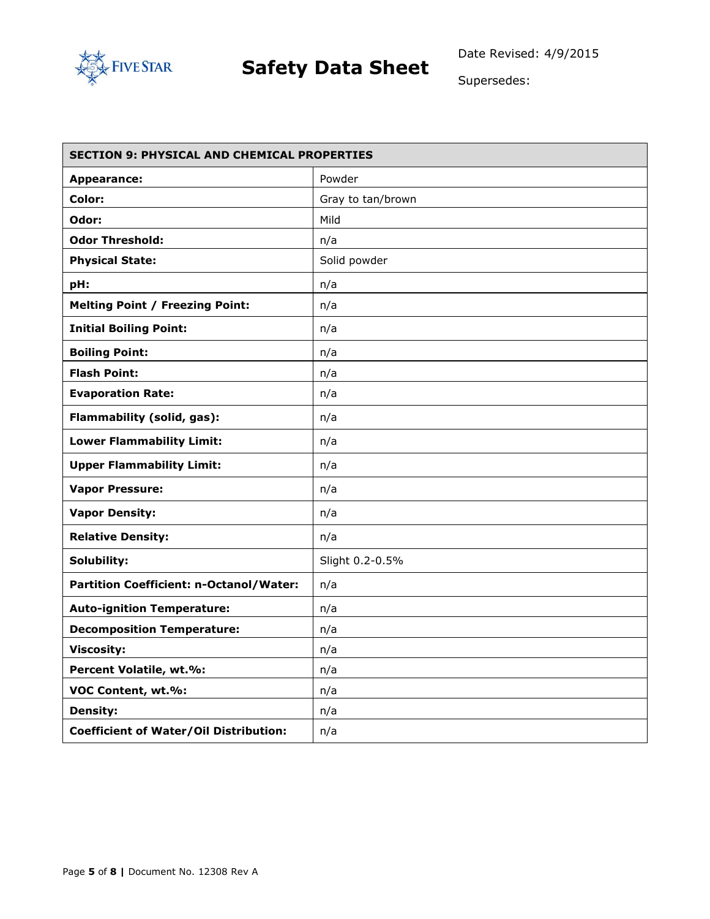

Supersedes:

| <b>SECTION 9: PHYSICAL AND CHEMICAL PROPERTIES</b> |                   |  |
|----------------------------------------------------|-------------------|--|
| <b>Appearance:</b>                                 | Powder            |  |
| Color:                                             | Gray to tan/brown |  |
| Odor:                                              | Mild              |  |
| <b>Odor Threshold:</b>                             | n/a               |  |
| <b>Physical State:</b>                             | Solid powder      |  |
| pH:                                                | n/a               |  |
| <b>Melting Point / Freezing Point:</b>             | n/a               |  |
| <b>Initial Boiling Point:</b>                      | n/a               |  |
| <b>Boiling Point:</b>                              | n/a               |  |
| <b>Flash Point:</b>                                | n/a               |  |
| <b>Evaporation Rate:</b>                           | n/a               |  |
| Flammability (solid, gas):                         | n/a               |  |
| <b>Lower Flammability Limit:</b>                   | n/a               |  |
| <b>Upper Flammability Limit:</b>                   | n/a               |  |
| <b>Vapor Pressure:</b>                             | n/a               |  |
| <b>Vapor Density:</b>                              | n/a               |  |
| <b>Relative Density:</b>                           | n/a               |  |
| Solubility:                                        | Slight 0.2-0.5%   |  |
| Partition Coefficient: n-Octanol/Water:            | n/a               |  |
| <b>Auto-ignition Temperature:</b>                  | n/a               |  |
| <b>Decomposition Temperature:</b>                  | n/a               |  |
| <b>Viscosity:</b>                                  | n/a               |  |
| Percent Volatile, wt.%:                            | n/a               |  |
| VOC Content, wt.%:                                 | n/a               |  |
| <b>Density:</b>                                    | n/a               |  |
| <b>Coefficient of Water/Oil Distribution:</b>      | n/a               |  |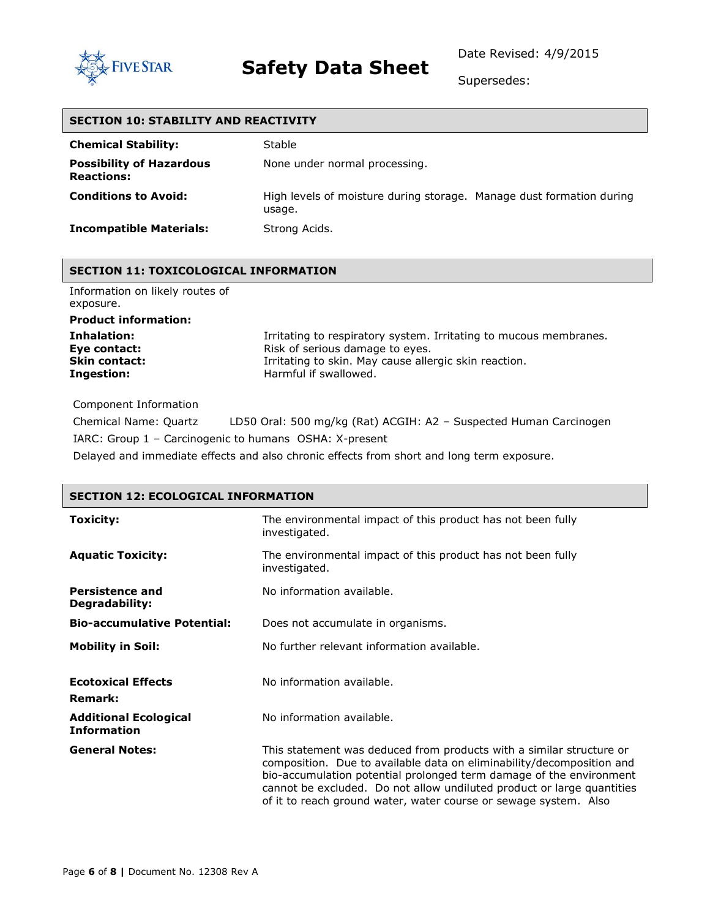

Date Revised: 4/9/2015

Supersedes:

| <b>SECTION 10: STABILITY AND REACTIVITY</b>          |                                                                                |  |
|------------------------------------------------------|--------------------------------------------------------------------------------|--|
| <b>Chemical Stability:</b>                           | Stable                                                                         |  |
| <b>Possibility of Hazardous</b><br><b>Reactions:</b> | None under normal processing.                                                  |  |
| <b>Conditions to Avoid:</b>                          | High levels of moisture during storage. Manage dust formation during<br>usage. |  |
| <b>Incompatible Materials:</b>                       | Strong Acids.                                                                  |  |

#### **SECTION 11: TOXICOLOGICAL INFORMATION**

| Information on likely routes of |
|---------------------------------|
| exposure.                       |
| <b>Product information:</b>     |
| Inhalation:                     |
| Eye contact:                    |
| <b>Skin contact:</b>            |
| Ingestion:                      |

Irritating to respiratory system. Irritating to mucous membranes. Risk of serious damage to eyes. Irritating to skin. May cause allergic skin reaction. Harmful if swallowed.

Component Information

Chemical Name: Quartz LD50 Oral: 500 mg/kg (Rat) ACGIH: A2 – Suspected Human Carcinogen IARC: Group 1 – Carcinogenic to humans OSHA: X-present

Delayed and immediate effects and also chronic effects from short and long term exposure.

| <b>SECTION 12: ECOLOGICAL INFORMATION</b>          |                                                                                                                                                                                                                                                                                                                                                                    |  |  |  |  |  |
|----------------------------------------------------|--------------------------------------------------------------------------------------------------------------------------------------------------------------------------------------------------------------------------------------------------------------------------------------------------------------------------------------------------------------------|--|--|--|--|--|
| <b>Toxicity:</b>                                   | The environmental impact of this product has not been fully<br>investigated.                                                                                                                                                                                                                                                                                       |  |  |  |  |  |
| <b>Aquatic Toxicity:</b>                           | The environmental impact of this product has not been fully<br>investigated.                                                                                                                                                                                                                                                                                       |  |  |  |  |  |
| <b>Persistence and</b><br>Degradability:           | No information available.                                                                                                                                                                                                                                                                                                                                          |  |  |  |  |  |
| <b>Bio-accumulative Potential:</b>                 | Does not accumulate in organisms.                                                                                                                                                                                                                                                                                                                                  |  |  |  |  |  |
| <b>Mobility in Soil:</b>                           | No further relevant information available.                                                                                                                                                                                                                                                                                                                         |  |  |  |  |  |
| <b>Ecotoxical Effects</b><br><b>Remark:</b>        | No information available.                                                                                                                                                                                                                                                                                                                                          |  |  |  |  |  |
| <b>Additional Ecological</b><br><b>Information</b> | No information available.                                                                                                                                                                                                                                                                                                                                          |  |  |  |  |  |
| <b>General Notes:</b>                              | This statement was deduced from products with a similar structure or<br>composition. Due to available data on eliminability/decomposition and<br>bio-accumulation potential prolonged term damage of the environment<br>cannot be excluded. Do not allow undiluted product or large quantities<br>of it to reach ground water, water course or sewage system. Also |  |  |  |  |  |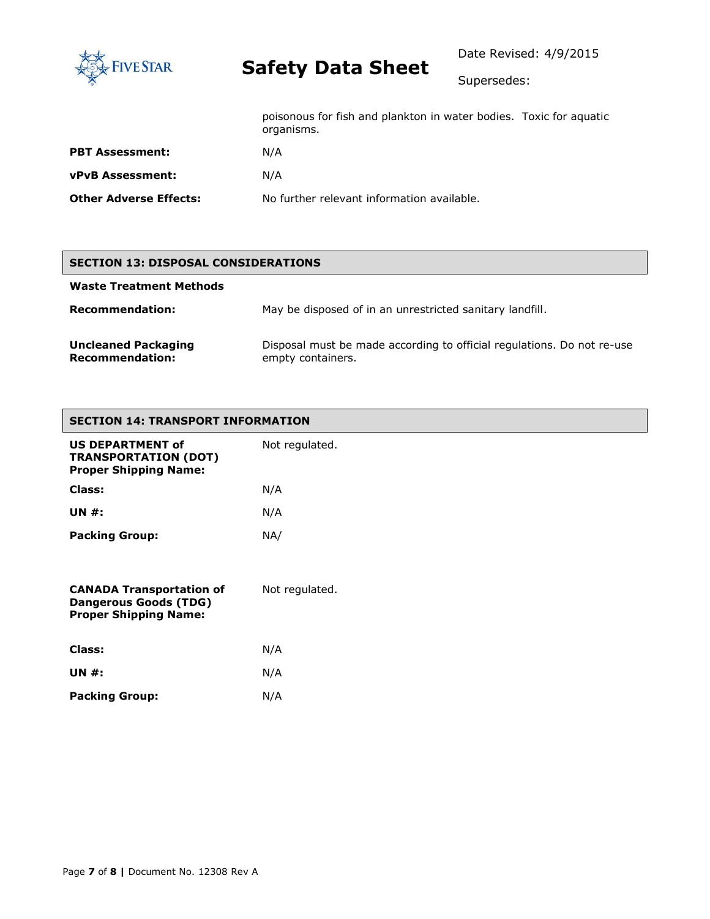

Date Revised: 4/9/2015

Supersedes:

|                        | poisonous for fish and plankton in water bodies. Toxic for aquatic<br>organisms. |  |
|------------------------|----------------------------------------------------------------------------------|--|
| <b>PBT Assessment:</b> | N/A                                                                              |  |
| vPvB Assessment:       | N/A                                                                              |  |
| Other Adverse Effects: | No further relevant information available.                                       |  |
|                        |                                                                                  |  |

#### **SECTION 13: DISPOSAL CONSIDERATIONS**

| <b>Waste Treatment Methods</b>                       |                                                                                             |
|------------------------------------------------------|---------------------------------------------------------------------------------------------|
| <b>Recommendation:</b>                               | May be disposed of in an unrestricted sanitary landfill.                                    |
| <b>Uncleaned Packaging</b><br><b>Recommendation:</b> | Disposal must be made according to official regulations. Do not re-use<br>empty containers. |

| <b>SECTION 14: TRANSPORT INFORMATION</b>                                                        |                |  |  |
|-------------------------------------------------------------------------------------------------|----------------|--|--|
| <b>US DEPARTMENT of</b><br><b>TRANSPORTATION (DOT)</b><br><b>Proper Shipping Name:</b>          | Not regulated. |  |  |
| Class:                                                                                          | N/A            |  |  |
| <b>UN#:</b>                                                                                     | N/A            |  |  |
| <b>Packing Group:</b>                                                                           | NA/            |  |  |
| <b>CANADA Transportation of</b><br><b>Dangerous Goods (TDG)</b><br><b>Proper Shipping Name:</b> | Not regulated. |  |  |
| <b>Class:</b>                                                                                   | N/A            |  |  |
| <b>UN#:</b>                                                                                     | N/A            |  |  |
| <b>Packing Group:</b>                                                                           | N/A            |  |  |